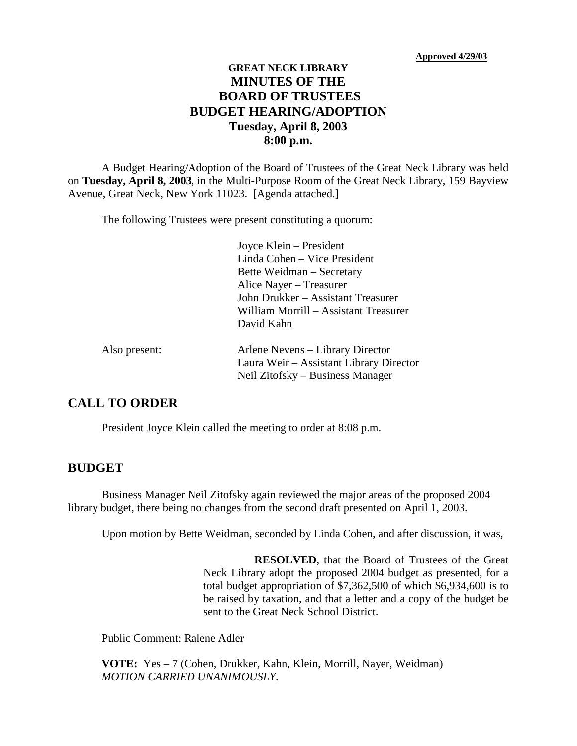### **GREAT NECK LIBRARY MINUTES OF THE BOARD OF TRUSTEES BUDGET HEARING/ADOPTION Tuesday, April 8, 2003 8:00 p.m.**

A Budget Hearing/Adoption of the Board of Trustees of the Great Neck Library was held on **Tuesday, April 8, 2003**, in the Multi-Purpose Room of the Great Neck Library, 159 Bayview Avenue, Great Neck, New York 11023. [Agenda attached.]

The following Trustees were present constituting a quorum:

Joyce Klein – President Linda Cohen – Vice President Bette Weidman – Secretary Alice Nayer – Treasurer John Drukker – Assistant Treasurer William Morrill – Assistant Treasurer David Kahn

| Also present: | Arlene Nevens – Library Director        |
|---------------|-----------------------------------------|
|               | Laura Weir – Assistant Library Director |
|               | Neil Zitofsky – Business Manager        |

### **CALL TO ORDER**

President Joyce Klein called the meeting to order at 8:08 p.m.

#### **BUDGET**

Business Manager Neil Zitofsky again reviewed the major areas of the proposed 2004 library budget, there being no changes from the second draft presented on April 1, 2003.

Upon motion by Bette Weidman, seconded by Linda Cohen, and after discussion, it was,

**RESOLVED**, that the Board of Trustees of the Great Neck Library adopt the proposed 2004 budget as presented, for a total budget appropriation of \$7,362,500 of which \$6,934,600 is to be raised by taxation, and that a letter and a copy of the budget be sent to the Great Neck School District.

Public Comment: Ralene Adler

**VOTE:** Yes – 7 (Cohen, Drukker, Kahn, Klein, Morrill, Nayer, Weidman) *MOTION CARRIED UNANIMOUSLY.*